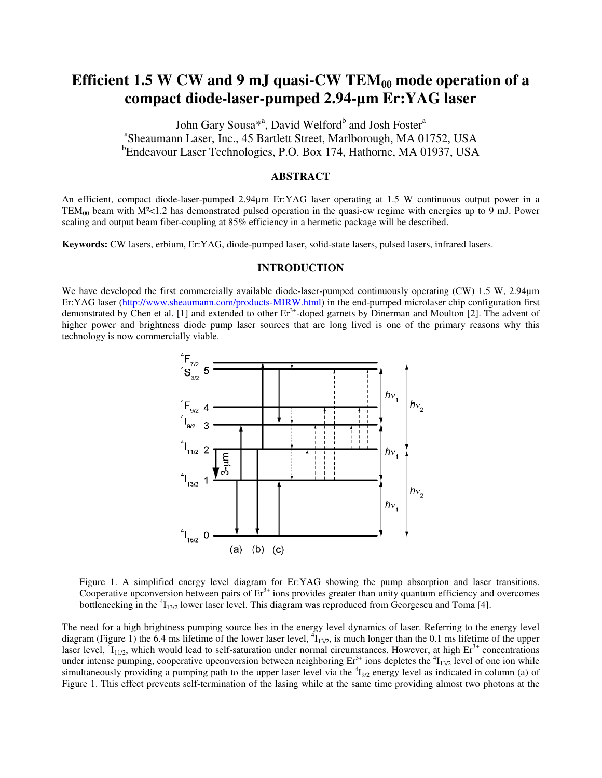# Efficient 1.5 W CW and 9 mJ quasi-CW TEM<sub>00</sub> mode operation of a **compact diode-laser-pumped 2.94-**µ**m Er:YAG laser**

John Gary Sousa<sup>\*a</sup>, David Welford<sup>b</sup> and Josh Foster<sup>a</sup> a Sheaumann Laser, Inc., 45 Bartlett Street, Marlborough, MA 01752, USA <sup>b</sup>Endeavour Laser Technologies, P.O. Box 174, Hathorne, MA 01937, USA

#### **ABSTRACT**

An efficient, compact diode-laser-pumped 2.94µm Er:YAG laser operating at 1.5 W continuous output power in a  $TEM_{00}$  beam with  $M<1.2$  has demonstrated pulsed operation in the quasi-cw regime with energies up to 9 mJ. Power scaling and output beam fiber-coupling at 85% efficiency in a hermetic package will be described.

**Keywords:** CW lasers, erbium, Er:YAG, diode-pumped laser, solid-state lasers, pulsed lasers, infrared lasers.

#### **INTRODUCTION**

We have developed the first commercially available diode-laser-pumped continuously operating (CW) 1.5 W, 2.94 $\mu$ m Er:YAG laser (http://www.sheaumann.com/products-MIRW.html) in the end-pumped microlaser chip configuration first demonstrated by Chen et al. [1] and extended to other  $Er<sup>3+</sup>$ -doped garnets by Dinerman and Moulton [2]. The advent of higher power and brightness diode pump laser sources that are long lived is one of the primary reasons why this technology is now commercially viable.



Figure 1. A simplified energy level diagram for Er:YAG showing the pump absorption and laser transitions. Cooperative upconversion between pairs of  $Er<sup>3+</sup>$  ions provides greater than unity quantum efficiency and overcomes bottlenecking in the  ${}^{4}I_{13/2}$  lower laser level. This diagram was reproduced from Georgescu and Toma [4].

The need for a high brightness pumping source lies in the energy level dynamics of laser. Referring to the energy level diagram (Figure 1) the 6.4 ms lifetime of the lower laser level,  $\frac{1}{1}I_{13/2}$ , is much longer than the 0.1 ms lifetime of the upper laser level,  ${}^{4}I_{11/2}$ , which would lead to self-saturation under normal circumstances. However, at high  $Er^{3+}$  concentrations under intense pumping, cooperative upconversion between neighboring  $Er^{3+}$  ions depletes the  ${}^{4}I_{13/2}$  level of one ion while simultaneously providing a pumping path to the upper laser level via the  $1_{9/2}$  energy level as indicated in column (a) of Figure 1. This effect prevents self-termination of the lasing while at the same time providing almost two photons at the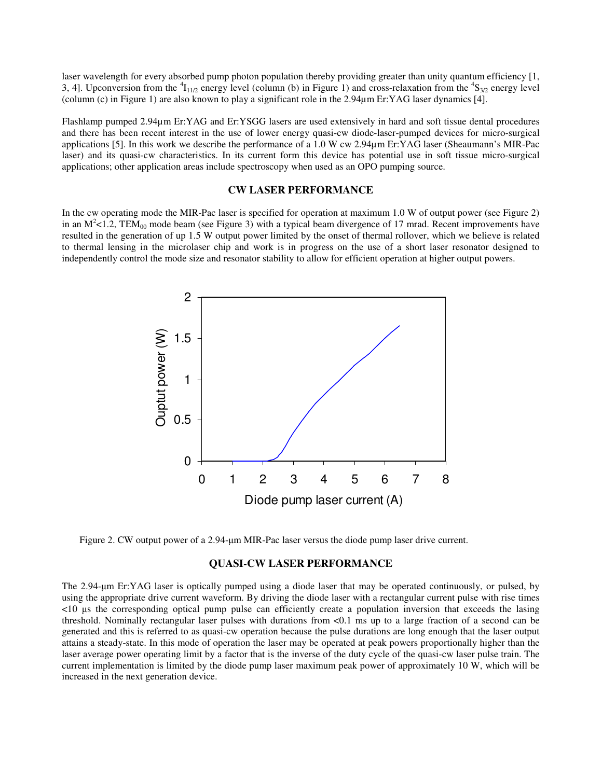laser wavelength for every absorbed pump photon population thereby providing greater than unity quantum efficiency [1, 3, 4]. Upconversion from the  ${}^{4}I_{11/2}$  energy level (column (b) in Figure 1) and cross-relaxation from the  ${}^{4}S_{3/2}$  energy level (column (c) in Figure 1) are also known to play a significant role in the 2.94µm Er:YAG laser dynamics [4].

Flashlamp pumped 2.94µm Er:YAG and Er:YSGG lasers are used extensively in hard and soft tissue dental procedures and there has been recent interest in the use of lower energy quasi-cw diode-laser-pumped devices for micro-surgical applications [5]. In this work we describe the performance of a 1.0 W cw 2.94µm Er:YAG laser (Sheaumann's MIR-Pac laser) and its quasi-cw characteristics. In its current form this device has potential use in soft tissue micro-surgical applications; other application areas include spectroscopy when used as an OPO pumping source.

### **CW LASER PERFORMANCE**

In the cw operating mode the MIR-Pac laser is specified for operation at maximum 1.0 W of output power (see Figure 2) in an  $M^2$ <1.2, TEM<sub>00</sub> mode beam (see Figure 3) with a typical beam divergence of 17 mrad. Recent improvements have resulted in the generation of up 1.5 W output power limited by the onset of thermal rollover, which we believe is related to thermal lensing in the microlaser chip and work is in progress on the use of a short laser resonator designed to independently control the mode size and resonator stability to allow for efficient operation at higher output powers.



Figure 2. CW output power of a 2.94-µm MIR-Pac laser versus the diode pump laser drive current.

#### **QUASI-CW LASER PERFORMANCE**

The 2.94-µm Er:YAG laser is optically pumped using a diode laser that may be operated continuously, or pulsed, by using the appropriate drive current waveform. By driving the diode laser with a rectangular current pulse with rise times <10 µs the corresponding optical pump pulse can efficiently create a population inversion that exceeds the lasing threshold. Nominally rectangular laser pulses with durations from <0.1 ms up to a large fraction of a second can be generated and this is referred to as quasi-cw operation because the pulse durations are long enough that the laser output attains a steady-state. In this mode of operation the laser may be operated at peak powers proportionally higher than the laser average power operating limit by a factor that is the inverse of the duty cycle of the quasi-cw laser pulse train. The current implementation is limited by the diode pump laser maximum peak power of approximately 10 W, which will be increased in the next generation device.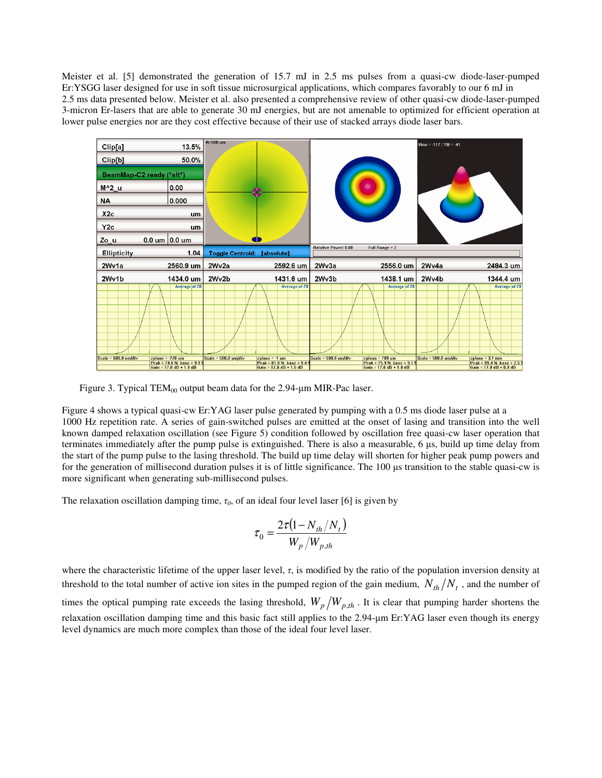Meister et al. [5] demonstrated the generation of 15.7 mJ in 2.5 ms pulses from a quasi-cw diode-laser-pumped Er:YSGG laser designed for use in soft tissue microsurgical applications, which compares favorably to our 6 mJ in 2.5 ms data presented below. Meister et al. also presented a comprehensive review of other quasi-cw diode-laser-pumped 3-micron Er-lasers that are able to generate 30 mJ energies, but are not amenable to optimized for efficient operation at lower pulse energies nor are they cost effective because of their use of stacked arrays diode laser bars.

| Clip[a]<br>13.5%                                                      | R=500 um                           |                                      |                        |                                    | View = -117 : Tilt = -41 |                                     |
|-----------------------------------------------------------------------|------------------------------------|--------------------------------------|------------------------|------------------------------------|--------------------------|-------------------------------------|
| Clip[b]<br>50.0%                                                      |                                    |                                      |                        |                                    |                          |                                     |
| BeamMap-C2 ready (*alt*)                                              |                                    |                                      |                        |                                    |                          |                                     |
| M^2 u<br>0.00                                                         |                                    |                                      |                        |                                    |                          |                                     |
| 0.000<br><b>NA</b>                                                    |                                    |                                      |                        |                                    |                          |                                     |
| X2c<br>um                                                             |                                    |                                      |                        |                                    |                          |                                     |
| Y <sub>2c</sub><br>um                                                 |                                    |                                      |                        |                                    |                          |                                     |
| 0.0 um $ 0.0 \text{ um} $<br>Zo u                                     | 10                                 |                                      |                        |                                    |                          |                                     |
| <b>Ellipticity</b><br>1.04                                            | <b>Toggle Centroid: [absolute]</b> |                                      | Relative Power: 0.00   | Full Range $= 2$                   |                          |                                     |
|                                                                       |                                    |                                      |                        |                                    |                          |                                     |
| 2Wv1a<br>2560.9 um                                                    | 2Wv2a                              | 2592.6 um                            | 2Wv3a                  | 2556.0 um                          | 2Wv4a                    | 2484.3 um                           |
| 2Wv1b<br>1434.0 um                                                    | 2Wv2b                              | 1431.6 um                            | 2Wv3b                  | 1438.1 um                          | 2Wv4b                    | 1344.4 um                           |
| <b>Average of 20</b><br>$Scale = 600.0$ um/div<br>$z plane = -778$ um | $Scale = 500.0$ um/div             | Average of 20<br>$z$ plane = $-1$ um | $Scale = 500.0$ um/div | Average of 20<br>$zplane = 789$ um | $Scale = 500.0$ um/div   | Average of 20<br>$z plane = 3.1 mm$ |

Figure 3. Typical  $TEM_{00}$  output beam data for the 2.94-µm MIR-Pac laser.

Figure 4 shows a typical quasi-cw Er:YAG laser pulse generated by pumping with a 0.5 ms diode laser pulse at a 1000 Hz repetition rate. A series of gain-switched pulses are emitted at the onset of lasing and transition into the well known damped relaxation oscillation (see Figure 5) condition followed by oscillation free quasi-cw laser operation that terminates immediately after the pump pulse is extinguished. There is also a measurable, 6 µs, build up time delay from the start of the pump pulse to the lasing threshold. The build up time delay will shorten for higher peak pump powers and for the generation of millisecond duration pulses it is of little significance. The 100 µs transition to the stable quasi-cw is more significant when generating sub-millisecond pulses.

The relaxation oscillation damping time,  $\tau_0$ , of an ideal four level laser [6] is given by

$$
\tau_0 = \frac{2\tau (1 - N_{th}/N_t)}{W_p/W_{p,th}}
$$

where the characteristic lifetime of the upper laser level,  $\tau$ , is modified by the ratio of the population inversion density at threshold to the total number of active ion sites in the pumped region of the gain medium,  $N_{th}/N_t$ , and the number of times the optical pumping rate exceeds the lasing threshold,  $W_p / W_{p,th}$ . It is clear that pumping harder shortens the relaxation oscillation damping time and this basic fact still applies to the 2.94-µm Er:YAG laser even though its energy level dynamics are much more complex than those of the ideal four level laser.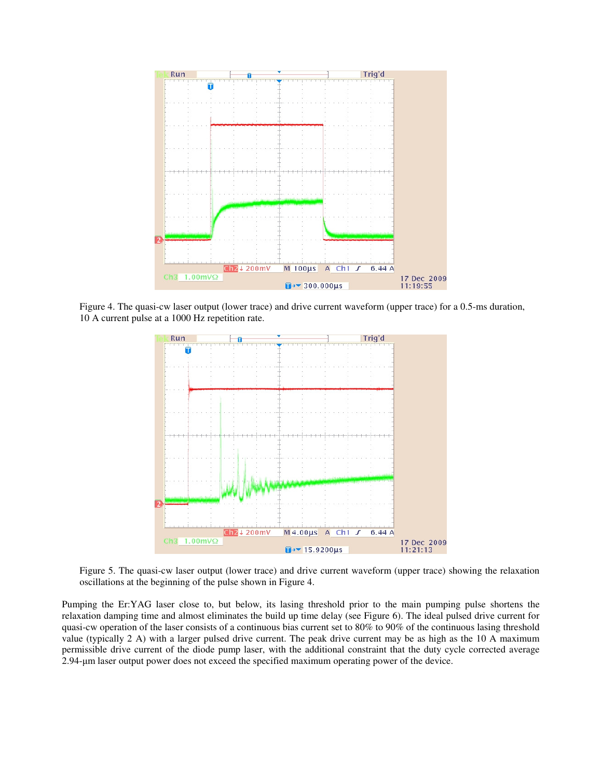

Figure 4. The quasi-cw laser output (lower trace) and drive current waveform (upper trace) for a 0.5-ms duration, 10 A current pulse at a 1000 Hz repetition rate.



Figure 5. The quasi-cw laser output (lower trace) and drive current waveform (upper trace) showing the relaxation oscillations at the beginning of the pulse shown in Figure 4.

Pumping the Er:YAG laser close to, but below, its lasing threshold prior to the main pumping pulse shortens the relaxation damping time and almost eliminates the build up time delay (see Figure 6). The ideal pulsed drive current for quasi-cw operation of the laser consists of a continuous bias current set to 80% to 90% of the continuous lasing threshold value (typically 2 A) with a larger pulsed drive current. The peak drive current may be as high as the 10 A maximum permissible drive current of the diode pump laser, with the additional constraint that the duty cycle corrected average 2.94-µm laser output power does not exceed the specified maximum operating power of the device.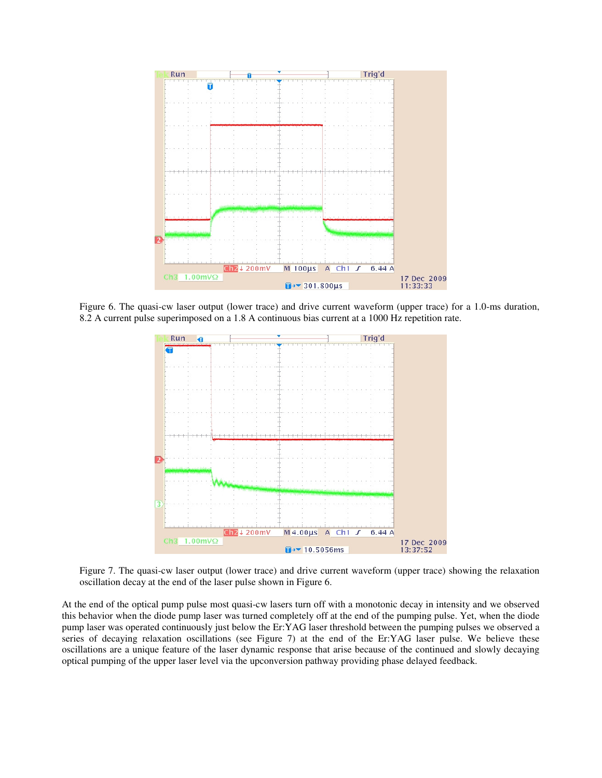

Figure 6. The quasi-cw laser output (lower trace) and drive current waveform (upper trace) for a 1.0-ms duration, 8.2 A current pulse superimposed on a 1.8 A continuous bias current at a 1000 Hz repetition rate.



Figure 7. The quasi-cw laser output (lower trace) and drive current waveform (upper trace) showing the relaxation oscillation decay at the end of the laser pulse shown in Figure 6.

At the end of the optical pump pulse most quasi-cw lasers turn off with a monotonic decay in intensity and we observed this behavior when the diode pump laser was turned completely off at the end of the pumping pulse. Yet, when the diode pump laser was operated continuously just below the Er:YAG laser threshold between the pumping pulses we observed a series of decaying relaxation oscillations (see Figure 7) at the end of the Er:YAG laser pulse. We believe these oscillations are a unique feature of the laser dynamic response that arise because of the continued and slowly decaying optical pumping of the upper laser level via the upconversion pathway providing phase delayed feedback.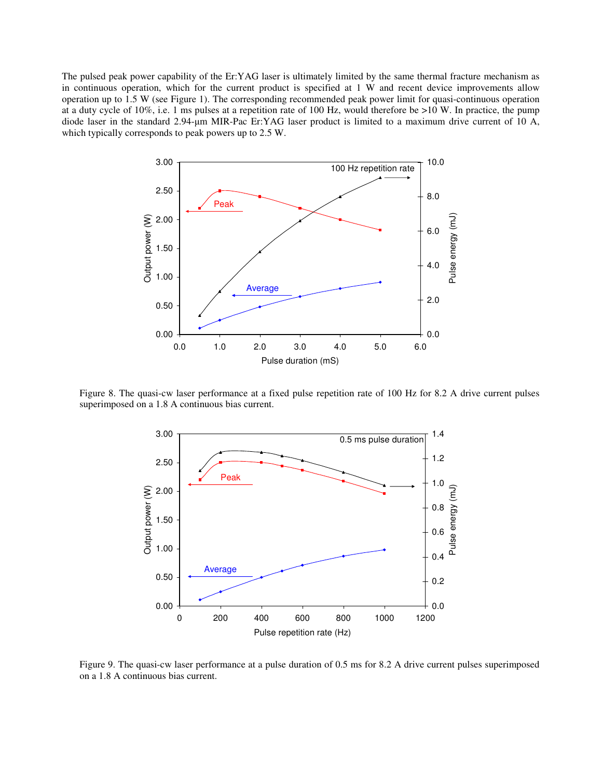The pulsed peak power capability of the Er:YAG laser is ultimately limited by the same thermal fracture mechanism as in continuous operation, which for the current product is specified at 1 W and recent device improvements allow operation up to 1.5 W (see Figure 1). The corresponding recommended peak power limit for quasi-continuous operation at a duty cycle of 10%, i.e. 1 ms pulses at a repetition rate of 100 Hz, would therefore be >10 W. In practice, the pump diode laser in the standard 2.94-µm MIR-Pac Er:YAG laser product is limited to a maximum drive current of 10 A, which typically corresponds to peak powers up to 2.5 W.



Figure 8. The quasi-cw laser performance at a fixed pulse repetition rate of 100 Hz for 8.2 A drive current pulses superimposed on a 1.8 A continuous bias current.



Figure 9. The quasi-cw laser performance at a pulse duration of 0.5 ms for 8.2 A drive current pulses superimposed on a 1.8 A continuous bias current.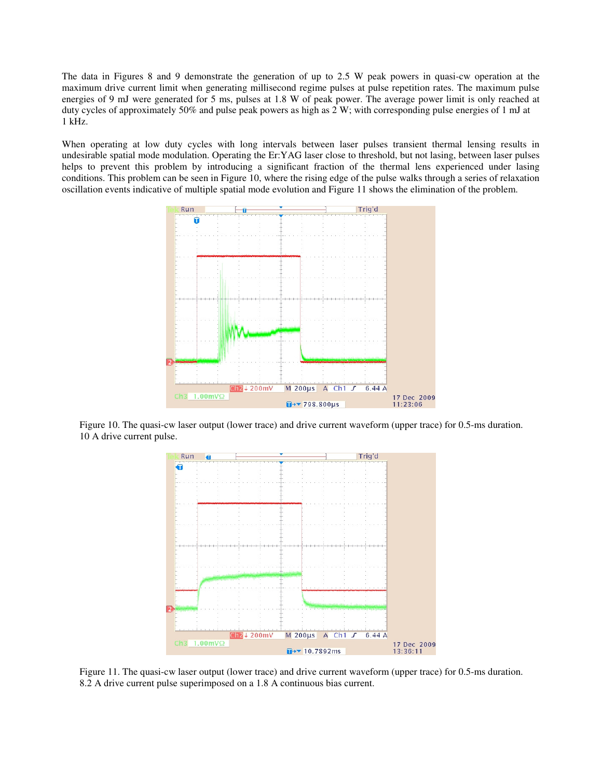The data in Figures 8 and 9 demonstrate the generation of up to 2.5 W peak powers in quasi-cw operation at the maximum drive current limit when generating millisecond regime pulses at pulse repetition rates. The maximum pulse energies of 9 mJ were generated for 5 ms, pulses at 1.8 W of peak power. The average power limit is only reached at duty cycles of approximately 50% and pulse peak powers as high as 2 W; with corresponding pulse energies of 1 mJ at 1 kHz.

When operating at low duty cycles with long intervals between laser pulses transient thermal lensing results in undesirable spatial mode modulation. Operating the Er:YAG laser close to threshold, but not lasing, between laser pulses helps to prevent this problem by introducing a significant fraction of the thermal lens experienced under lasing conditions. This problem can be seen in Figure 10, where the rising edge of the pulse walks through a series of relaxation oscillation events indicative of multiple spatial mode evolution and Figure 11 shows the elimination of the problem.



Figure 10. The quasi-cw laser output (lower trace) and drive current waveform (upper trace) for 0.5-ms duration. 10 A drive current pulse.



Figure 11. The quasi-cw laser output (lower trace) and drive current waveform (upper trace) for 0.5-ms duration. 8.2 A drive current pulse superimposed on a 1.8 A continuous bias current.